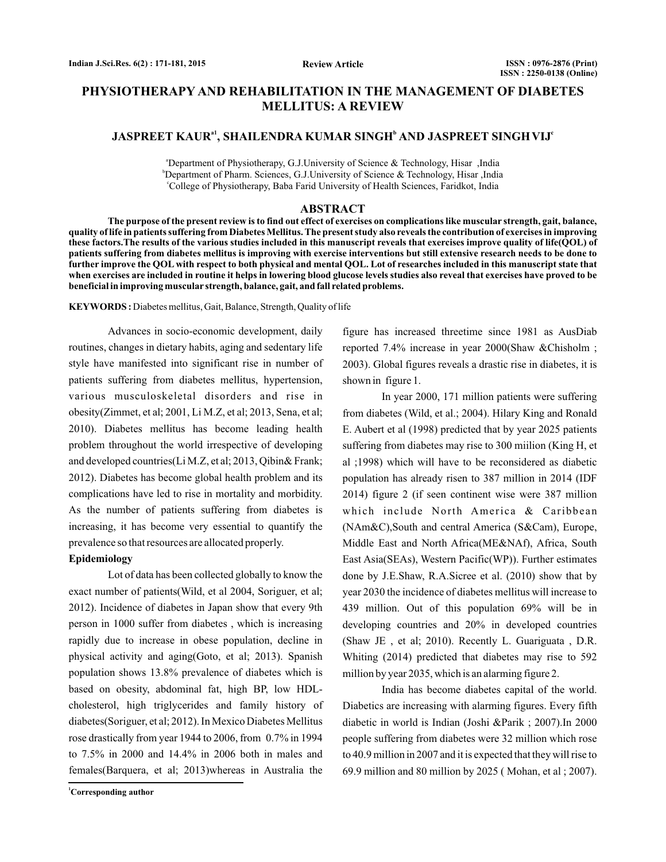# **PHYSIOTHERAPY AND REHABILITATION IN THE MANAGEMENT OF DIABETES MELLITUS: A REVIEW**

## **JASPREET KAUR , SHAILENDRA KUMAR SINGH AND JASPREET SINGH VIJ a1 <sup>b</sup> <sup>c</sup>**

<sup>a</sup>Department of Physiotherapy, G.J.University of Science & Technology, Hisar ,India b Department of Pharm. Sciences, G.J.University of Science & Technology, Hisar ,India c College of Physiotherapy, Baba Farid University of Health Sciences, Faridkot, India

## **ABSTRACT**

**The purpose of the present review is to find out effect of exercises on complications like muscular strength, gait, balance, quality of life in patients suffering from Diabetes Mellitus. The present study also reveals the contribution of exercises in improving these factors.The results of the various studies included in this manuscript reveals that exercises improve quality of life(QOL) of patients suffering from diabetes mellitus is improving with exercise interventions but still extensive research needs to be done to further improve the QOL with respect to both physical and mental QOL. Lot of researches included in this manuscript state that when exercises are included in routine it helps in lowering blood glucose levels studies also reveal that exercises have proved to be beneficial in improving muscular strength, balance, gait, and fall related problems.**

**KEYWORDS :** Diabetes mellitus, Gait, Balance, Strength, Quality of life

Advances in socio-economic development, daily routines, changes in dietary habits, aging and sedentary life style have manifested into significant rise in number of patients suffering from diabetes mellitus, hypertension, various musculoskeletal disorders and rise in obesity(Zimmet, et al; 2001, Li M.Z, et al; 2013, Sena, et al; 2010). Diabetes mellitus has become leading health problem throughout the world irrespective of developing and developed countries(Li M.Z, et al; 2013, Qibin& Frank; 2012). Diabetes has become global health problem and its complications have led to rise in mortality and morbidity. As the number of patients suffering from diabetes is increasing, it has become very essential to quantify the prevalence so that resources are allocated properly.

### **Epidemiology**

Lot of data has been collected globally to know the exact number of patients(Wild, et al 2004, Soriguer, et al; 2012). Incidence of diabetes in Japan show that every 9th person in 1000 suffer from diabetes , which is increasing rapidly due to increase in obese population, decline in physical activity and aging(Goto, et al; 2013). Spanish population shows 13.8% prevalence of diabetes which is based on obesity, abdominal fat, high BP, low HDLcholesterol, high triglycerides and family history of diabetes(Soriguer, et al; 2012). In Mexico Diabetes Mellitus rose drastically from year 1944 to 2006, from 0.7% in 1994 to 7.5% in 2000 and 14.4% in 2006 both in males and females(Barquera, et al; 2013)whereas in Australia the

figure has increased threetime since 1981 as AusDiab reported 7.4% increase in year 2000(Shaw &Chisholm ; 2003). Global figures reveals a drastic rise in diabetes, it is shown in figure 1.

In year 2000, 171 million patients were suffering from diabetes (Wild, et al.; 2004). Hilary King and Ronald E. Aubert et al (1998) predicted that by year 2025 patients suffering from diabetes may rise to 300 miilion (King H, et al ;1998) which will have to be reconsidered as diabetic population has already risen to 387 million in 2014 (IDF 2014) figure 2 (if seen continent wise were 387 million which include North America & Caribbean (NAm&C),South and central America (S&Cam), Europe, Middle East and North Africa(ME&NAf), Africa, South East Asia(SEAs), Western Pacific(WP)). Further estimates done by J.E.Shaw, R.A.Sicree et al. (2010) show that by year 2030 the incidence of diabetes mellitus will increase to 439 million. Out of this population 69% will be in developing countries and 20% in developed countries (Shaw JE , et al; 2010). Recently L. Guariguata , D.R. Whiting (2014) predicted that diabetes may rise to 592 million by year 2035, which is an alarming figure 2.

India has become diabetes capital of the world. Diabetics are increasing with alarming figures. Every fifth diabetic in world is Indian (Joshi &Parik ; 2007).In 2000 people suffering from diabetes were 32 million which rose to 40.9 million in 2007 and it is expected that they will rise to 69.9 million and 80 million by 2025 ( Mohan, et al ; 2007).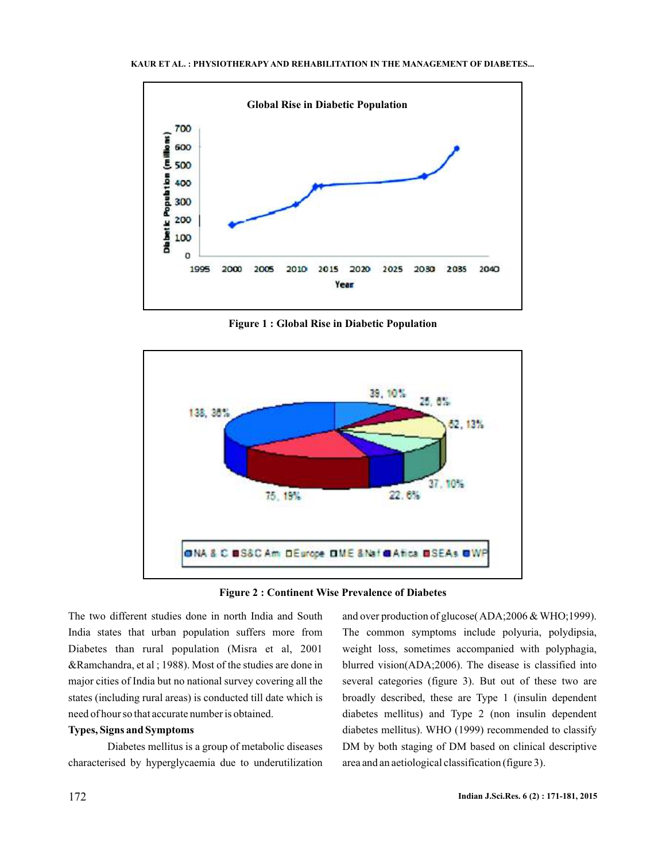



**Figure 1 : Global Rise in Diabetic Population**





The two different studies done in north India and South India states that urban population suffers more from Diabetes than rural population (Misra et al, 2001 &Ramchandra, et al ; 1988). Most of the studies are done in major cities of India but no national survey covering all the states (including rural areas) is conducted till date which is need of hour so that accurate number is obtained.

## **Types, Signs and Symptoms**

Diabetes mellitus is a group of metabolic diseases characterised by hyperglycaemia due to underutilization and over production of glucose( $ADA$ ;2006 & WHO;1999). The common symptoms include polyuria, polydipsia, weight loss, sometimes accompanied with polyphagia, blurred vision(ADA;2006). The disease is classified into several categories (figure 3). But out of these two are broadly described, these are Type 1 (insulin dependent diabetes mellitus) and Type 2 (non insulin dependent diabetes mellitus). WHO (1999) recommended to classify DM by both staging of DM based on clinical descriptive area and an aetiological classification (figure 3).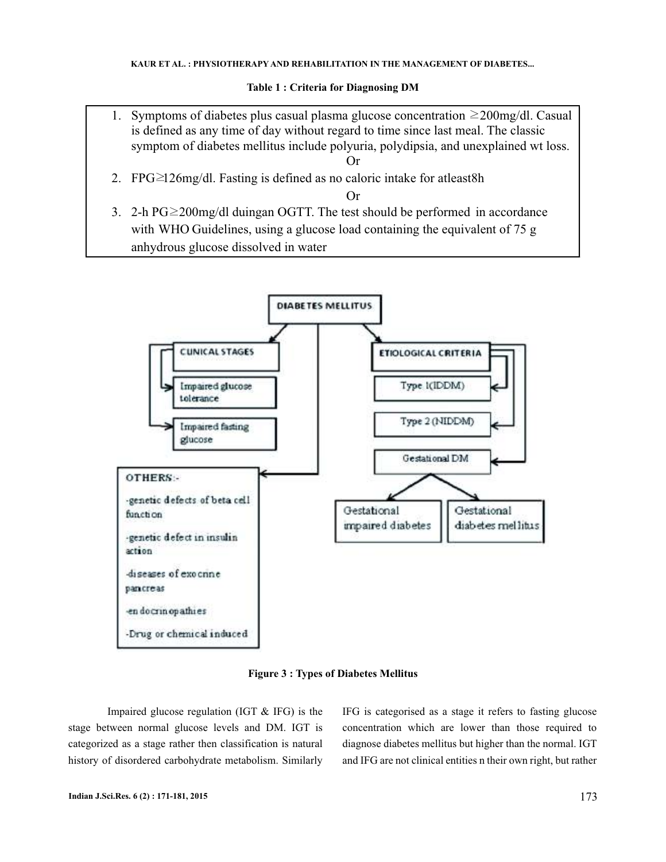### **Table 1 : Criteria for Diagnosing DM**

- 1. Symptoms of diabetes plus casual plasma glucose concentration  $\geq 200$ mg/dl. Casual is defined as any time of day without regard to time since last meal. The classic symptom of diabetes mellitus include polyuria, polydipsia, and unexplained wt loss. Or
- 2. FPG≥126mg/dl. Fasting is defined as no caloric intake for atleast8h

### Or

3. 2-h PG≥200mg/dl duingan OGTT. The test should be performed in accordance with WHO Guidelines, using a glucose load containing the equivalent of 75 g anhydrous glucose dissolved in water



**Figure 3 : Types of Diabetes Mellitus**

Impaired glucose regulation (IGT & IFG) is the stage between normal glucose levels and DM. IGT is categorized as a stage rather then classification is natural history of disordered carbohydrate metabolism. Similarly IFG is categorised as a stage it refers to fasting glucose concentration which are lower than those required to diagnose diabetes mellitus but higher than the normal. IGT and IFG are not clinical entities n their own right, but rather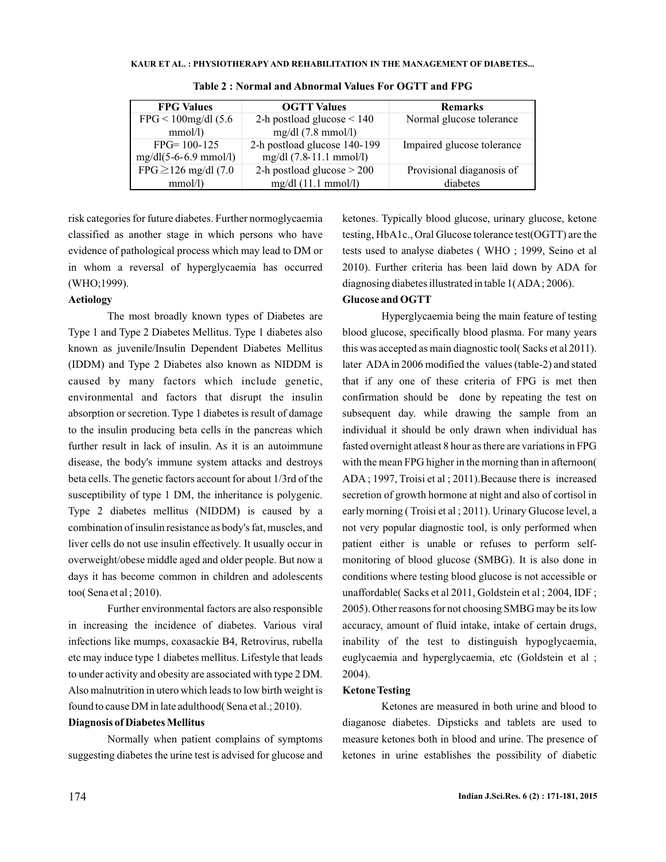| KAUR ET AL. : PHYSIOTHERAPY AND REHABILITATION IN THE MANAGEMENT OF DIABETES |
|------------------------------------------------------------------------------|
|------------------------------------------------------------------------------|

| <b>FPG Values</b>               | <b>OGTT Values</b>              | <b>Remarks</b>             |
|---------------------------------|---------------------------------|----------------------------|
| $FPG < 100$ mg/dl (5.6          | 2-h postload glucose $\leq 140$ | Normal glucose tolerance   |
| $mmol/l$ )                      | $mg/dl$ (7.8 mmol/l)            |                            |
| $FPG = 100 - 125$               | 2-h postload glucose 140-199    | Impaired glucose tolerance |
| $mg/dl(5-6-6.9 \text{ mmol/l})$ | $mg/dl$ (7.8-11.1 mmol/l)       |                            |
| FPG $\geq$ 126 mg/dl (7.0)      | 2-h postload glucose $>$ 200    | Provisional diaganosis of  |
| mmol/l                          | $mg/dl$ (11.1 mmol/l)           | diabetes                   |

**Table 2 : Normal and Abnormal Values For OGTT and FPG**

risk categories for future diabetes. Further normoglycaemia classified as another stage in which persons who have evidence of pathological process which may lead to DM or in whom a reversal of hyperglycaemia has occurred (WHO;1999).

# **Aetiology**

The most broadly known types of Diabetes are Type 1 and Type 2 Diabetes Mellitus. Type 1 diabetes also known as juvenile/Insulin Dependent Diabetes Mellitus (IDDM) and Type 2 Diabetes also known as NIDDM is caused by many factors which include genetic, environmental and factors that disrupt the insulin absorption or secretion. Type 1 diabetes is result of damage to the insulin producing beta cells in the pancreas which further result in lack of insulin. As it is an autoimmune disease, the body's immune system attacks and destroys beta cells. The genetic factors account for about 1/3rd of the susceptibility of type 1 DM, the inheritance is polygenic. Type 2 diabetes mellitus (NIDDM) is caused by a combination of insulin resistance as body's fat, muscles, and liver cells do not use insulin effectively. It usually occur in overweight/obese middle aged and older people. But now a days it has become common in children and adolescents too( Sena et al ; 2010).

Further environmental factors are also responsible in increasing the incidence of diabetes. Various viral infections like mumps, coxasackie B4, Retrovirus, rubella etc may induce type 1 diabetes mellitus. Lifestyle that leads to under activity and obesity are associated with type 2 DM. Also malnutrition in utero which leads to low birth weight is found to cause DM in late adulthood( Sena et al.; 2010).

### **Diagnosis of Diabetes Mellitus**

Normally when patient complains of symptoms suggesting diabetes the urine test is advised for glucose and ketones. Typically blood glucose, urinary glucose, ketone testing, HbA1c., Oral Glucose tolerance test(OGTT) are the tests used to analyse diabetes ( WHO ; 1999, Seino et al 2010). Further criteria has been laid down by ADA for diagnosing diabetes illustrated in table 1(ADA; 2006).

# **Glucose and OGTT**

Hyperglycaemia being the main feature of testing blood glucose, specifically blood plasma. For many years this was accepted as main diagnostic tool( Sacks et al 2011). later ADA in 2006 modified the values (table-2) and stated that if any one of these criteria of FPG is met then confirmation should be done by repeating the test on subsequent day. while drawing the sample from an individual it should be only drawn when individual has fasted overnight atleast 8 hour as there are variations in FPG with the mean FPG higher in the morning than in afternoon( ADA ; 1997, Troisi et al ; 2011).Because there is increased secretion of growth hormone at night and also of cortisol in early morning ( Troisi et al ; 2011). Urinary Glucose level, a not very popular diagnostic tool, is only performed when patient either is unable or refuses to perform selfmonitoring of blood glucose (SMBG). It is also done in conditions where testing blood glucose is not accessible or unaffordable( Sacks et al 2011, Goldstein et al ; 2004, IDF ; 2005). Other reasons for not choosing SMBG may be its low accuracy, amount of fluid intake, intake of certain drugs, inability of the test to distinguish hypoglycaemia, euglycaemia and hyperglycaemia, etc (Goldstein et al ; 2004).

### **Ketone Testing**

Ketones are measured in both urine and blood to diaganose diabetes. Dipsticks and tablets are used to me asure ketones both in blood and urine. The presence of ketones in urine establishes the possibility of diabetic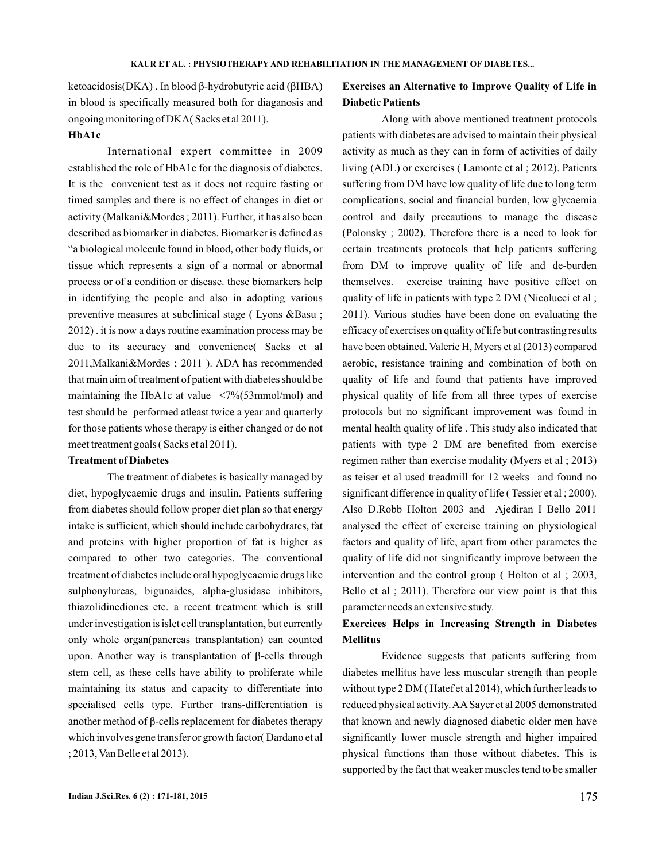ketoacidosis(DKA) . In blood β-hydrobutyric acid (βHBA) in blood is specifically measured both for diaganosis and ongoing monitoring of DKA ( Sacks et al 2011).

### **HbA1c**

International expert committee in 2009 established the role of HbA1c for the diagnosis of diabetes. It is the convenient test as it does not require fasting or timed samples and there is no effect of changes in diet or activity (Malkani&Mordes ; 2011). Further, it has also been described as biomarker in diabetes. Biomarker is defined as "a biological molecule found in blood, other body fluids, or tissue which represents a sign of a normal or abnormal process or of a condition or disease. these biomarkers help in identifying the people and also in adopting various preventive measures at subclinical stage (Lyons &Basu; 2012) . it is now a days routine examination process may be due to its accuracy and convenience( Sacks et al 2011,Malkani&Mordes ; 2011 ). ADA has recommended that main aim of treatment of patient with diabetes should be maintaining the HbA1c at value <7%(53mmol/mol) and test should be performed atleast twice a year and quarterly for those patients whose therapy is either changed or do not meet treatment goals ( Sacks et al 2011).

## **Treatment of Diabetes**

sulphonylureas, bigunaides, alpha-glusidase inhibitors, thiazolidinediones etc. a recent treatment which is still under investigation is islet cell transplantation, but currently only whole organ(pancreas transplantation) can counted upon. Another way is transplantation of β-cells through stem cell, as these cells have ability to proliferate while maintaining its status and capacity to differentiate into specialised cells type. Further trans-differentiation is another method of β-cells replacement for diabetes therapy which involves gene transfer or growth factor( Dardano et al The treatment of diabetes is basically managed by diet, hypoglycaemic drugs and insulin. Patients suffering from diabetes should follow proper diet plan so that energy intake is sufficient, which should include carbohydrates, fat and proteins with higher proportion of fat is higher as compared to other two categories. The conventional treatment of diabetes include oral hypoglycaemic drugs like ; 2013, Van Belle et al 2013).

# **Exercises an Alternative to Improve Quality of Life in Diabetic Patients**

Along with above mentioned treatment protocols patients with diabetes are advised to maintain their physical activity as much as they can in form of activities of daily living (ADL) or exercises ( Lamonte et al ; 2012). Patients suffering from DM have low quality of life due to long term complications, social and financial burden, low glycaemia control and daily precautions to manage the disease (Polonsky ; 2002). Therefore there is a need to look for certain treatments protocols that help patients suffering from DM to improve quality of life and de-burden themselves. exercise training have positive effect on quality of life in patients with type 2 DM (Nicolucci et al ; 2011). Various studies have been done on evaluating the efficacy of exercises on quality of life but contrasting results have been obtained. Valerie H, Myers et al (2013) compared aerobic, resistance training and combination of both on quality of life and found that patients have improved physical quality of life from all three types of exercise protocols but no significant improvement was found in mental health quality of life . This study also indicated that patients with type 2 DM are benefited from exercise regimen rather than exercise modality (Myers et al ; 2013) as teiser et al used treadmill for 12 weeks and found no significant difference in quality of life ( Tessier et al ; 2000). Also D.Robb Holton 2003 and Ajediran I Bello 2011 analysed the effect of exercise training on physiological factors and quality of life, apart from other parametes the quality of life did not singnificantly improve between the intervention and the control group ( Holton et al ; 2003, Bello et al ; 2011). Therefore our view point is that this parameter needs an extensive study.

# **Exercices Helps in Increasing Strength in Diabetes Mellitus**

Evidence suggests that patients suffering from diabetes mellitus have less muscular strength than people without type 2 DM ( Hatef et al 2014), which further leads to reduced physical activity.AASayer et al 2005 demonstrated that known and newly diagnosed diabetic older men have significantly lower muscle strength and higher impaired physical functions than those without diabetes. This is supported by the fact that weaker muscles tend to be smaller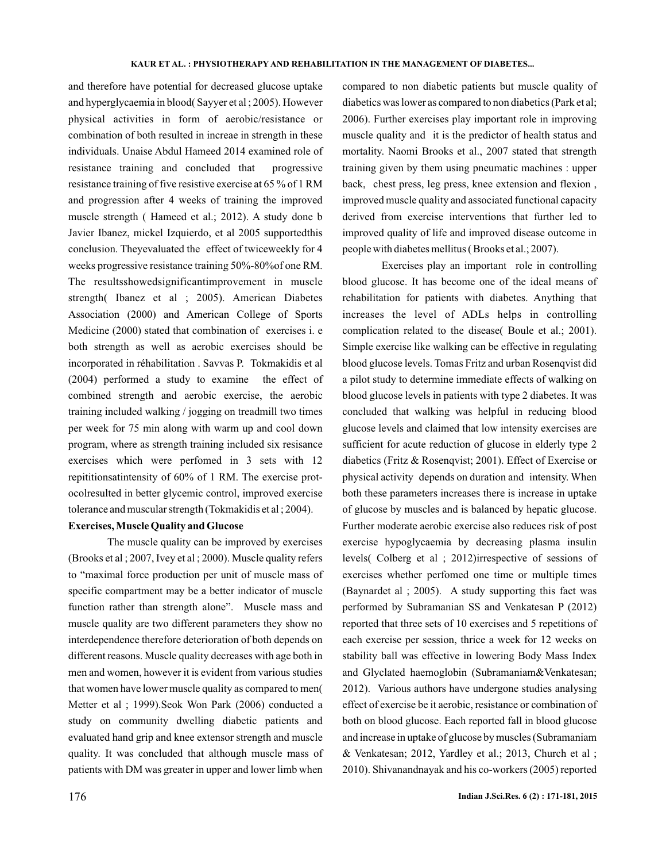and therefore have potential for decreased glucose uptake and hyperglycaemia in blood( Sayyer et al ; 2005). However physical activities in form of aerobic/resistance or combination of both resulted in increae in strength in these individuals. Unaise Abdul Hameed 2014 examined role of resistance training and concluded that progressive resistance training of five resistive exercise at 65 % of 1 RM and progression after 4 weeks of training the improved muscle strength ( Hameed et al.; 2012). A study done b Javier Ibanez, mickel Izquierdo, et al 2005 supportedthis conclusion. Theyevaluated the effect of twiceweekly for 4 weeks progressive resistance training 50%-80%of one RM. The resultsshowedsignificantimprovement in muscle strength( Ibanez et al ; 2005). American Diabetes Association (2000) and American College of Sports Medicine (2000) stated that combination of exercises i. e both strength as well as aerobic exercises should be incorporated in réhabilitation . Savvas P. Tokmakidis et al (2004) performed a study to examine the effect of combined strength and aerobic exercise, the aerobic training included walking / jogging on treadmill two times per week for 75 min along with warm up and cool down program, where as strength training included six resisance exercises which were perfomed in 3 sets with 12 repititionsatintensity of 60% of 1 RM. The exercise protocolresulted in better glycemic control, improved exercise tolerance and muscular strength (Tokmakidis et al ; 2004).

## **Exercises, Muscle Quality and Glucose**

The muscle quality can be improved by exercises (Brooks et al ; 2007, Ivey et al ; 2000). Muscle quality refers to "maximal force production per unit of muscle mass of specific compartment may be a better indicator of muscle function rather than strength alone". Muscle mass and muscle quality are two different parameters they show no interdependence therefore deterioration of both depends on different reasons. Muscle quality decreases with age both in men and women, however it is evident from various studies that women have lower muscle quality as compared to men( Metter et al ; 1999).Seok Won Park (2006) conducted a study on community dwelling diabetic patients and evaluated hand grip and knee extensor strength and muscle quality. It was concluded that although muscle mass of patients with DM was greater in upper and lower limb when

compared to non diabetic patients but muscle quality of diabetics was lower as compared to non diabetics (Park et al; 2006). Further exercises play important role in improving muscle quality and it is the predictor of health status and mortality. Naomi Brooks et al., 2007 stated that strength training given by them using pneumatic machines : upper back, chest press, leg press, knee extension and flexion , improved muscle quality and associated functional capacity derived from exercise interventions that further led to improved quality of life and improved disease outcome in people with diabetes mellitus ( Brooks et al.; 2007).

Exercises play an important role in controlling blood glucose. It has become one of the ideal means of rehabilitation for patients with diabetes. Anything that increases the level of ADLs helps in controlling complication related to the disease( Boule et al.; 2001). Simple exercise like walking can be effective in regulating blood glucose levels. Tomas Fritz and urban Rosenqvist did a pilot study to determine immediate effects of walking on blood glucose levels in patients with type 2 diabetes. It was concluded that walking was helpful in reducing blood glucose levels and claimed that low intensity exercises are sufficient for acute reduction of glucose in elderly type 2 diabetics (Fritz & Rosenqvist; 2001). Effect of Exercise or physical activity depends on duration and intensity. When both these parameters increases there is increase in uptake of glucose by muscles and is balanced by hepatic glucose. Further moderate aerobic exercise also reduces risk of post exercise hypoglycaemia by decreasing plasma insulin levels( Colberg et al ; 2012)irrespective of sessions of exercises whether perfomed one time or multiple times (Baynardet al ; 2005). A study supporting this fact was performed by Subramanian SS and Venkatesan P (2012) reported that three sets of 10 exercises and 5 repetitions of each exercise per session, thrice a week for 12 weeks on stability ball was effective in lowering Body Mass Index and Glyclated haemoglobin (Subramaniam&Venkatesan; 2012). Various authors have undergone studies analysing effect of exercise be it aerobic, resistance or combination of both on blood glucose. Each reported fall in blood glucose and increase in uptake of glucose by muscles (Subramaniam & Venkatesan; 2012, Yardley et al.; 2013, Church et al ; 2010). Shivanandnayak and his co-workers (2005) reported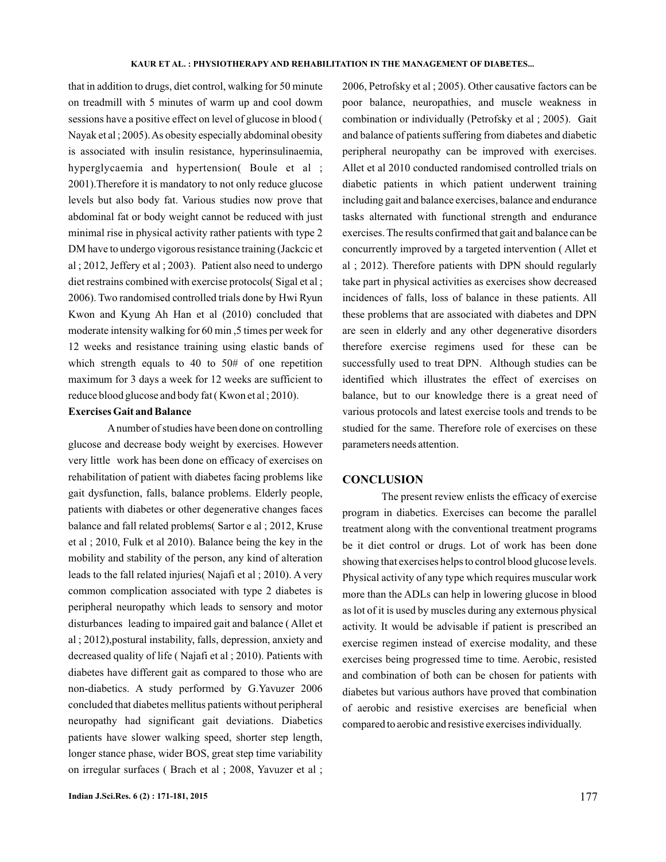that in addition to drugs, diet control, walking for 50 minute on treadmill with 5 minutes of warm up and cool dowm sessions have a positive effect on level of glucose in blood ( Nayak et al ; 2005).As obesity especially abdominal obesity is associated with insulin resistance, hyperinsulinaemia, hyperglycaemia and hypertension( Boule et al ; 2001).Therefore it is mandatory to not only reduce glucose levels but also body fat. Various studies now prove that abdominal fat or body weight cannot be reduced with just minimal rise in physical activity rather patients with type 2 DM have to undergo vigorous resistance training (Jackcic et al ; 2012, Jeffery et al ; 2003). Patient also need to undergo diet restrains combined with exercise protocols( Sigal et al ; 2006). Two randomised controlled trials done by Hwi Ryun Kwon and Kyung Ah Han et al (2010) concluded that moderate intensity walking for 60 min ,5 times per week for 12 weeks and resistance training using elastic bands of which strength equals to 40 to 50# of one repetition maximum for 3 days a week for 12 weeks are sufficient to reduce blood glucose and body fat ( Kwon et al ; 2010).

# **Exercises Gait and Balance**

A number of studies have been done on controlling glucose and decrease body weight by exercises. However very little work has been done on efficacy of exercises on rehabilitation of patient with diabetes facing problems like gait dysfunction, falls, balance problems. Elderly people, patients with diabetes or other degenerative changes faces balance and fall related problems( Sartor e al ; 2012, Kruse et al ; 2010, Fulk et al 2010). Balance being the key in the mobility and stability of the person, any kind of alteration leads to the fall related injuries( Najafi et al ; 2010). A very common complication associated with type 2 diabetes is peripheral neuropathy which leads to sensory and motor disturbances leading to impaired gait and balance ( Allet et al ; 2012),postural instability, falls, depression, anxiety and decreased quality of life ( Najafi et al ; 2010). Patients with diabetes have different gait as compared to those who are non-diabetics. A study performed by G.Yavuzer 2006 concluded that diabetes mellitus patients without peripheral neuropathy had significant gait deviations. Diabetics patients have slower walking speed, shorter step length, longer stance phase, wider BOS, great step time variability on irregular surfaces ( Brach et al ; 2008, Yavuzer et al ;

2006, Petrofsky et al ; 2005). Other causative factors can be poor balance, neuropathies, and muscle weakness in combination or individually (Petrofsky et al ; 2005). Gait and balance of patients suffering from diabetes and diabetic peripheral neuropathy can be improved with exercises. Allet et al 2010 conducted randomised controlled trials on diabetic patients in which patient underwent training including gait and balance exercises, balance and endurance tasks alternated with functional strength and endurance exercises. The results confirmed that gait and balance can be concurrently improved by a targeted intervention ( Allet et al ; 2012). Therefore patients with DPN should regularly take part in physical activities as exercises show decreased incidences of falls, loss of balance in these patients. All these problems that are associated with diabetes and DPN are seen in elderly and any other degenerative disorders therefore exercise regimens used for these can be successfully used to treat DPN. Although studies can be identified which illustrates the effect of exercises on balance, but to our knowledge there is a great need of various protocols and latest exercise tools and trends to be studied for the same. Therefore role of exercises on these parameters needs attention.

### **CONCLUSION**

The present review enlists the efficacy of exercise program in diabetics. Exercises can become the parallel treatment along with the conventional treatment programs be it diet control or drugs. Lot of work has been done showing that exercises helps to control blood glucose levels. Physical activity of any type which requires muscular work more than the ADLs can help in lowering glucose in blood as lot of it is used by muscles during any externous physical activity. It would be advisable if patient is prescribed an exercise regimen instead of exercise modality, and these exercises being progressed time to time. Aerobic, resisted and combination of both can be chosen for patients with diabetes but various authors have proved that combination of aerobic and resistive exercises are beneficial when compared to aerobic and resistive exercises individually.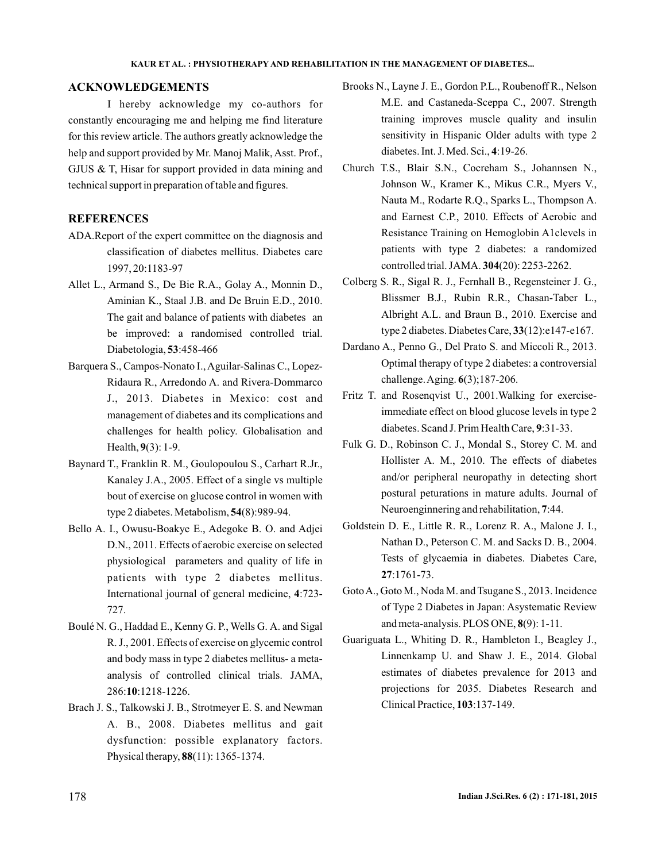## **ACKNOWLEDGEMENTS**

for this review article. The authors greatly acknowledge the help and support provided by Mr. Manoj Malik, Asst. Prof., GJUS & T, Hisar for support provided in data mining and technical support in preparation of table and figures. I hereby acknowledge my co-authors for constantly encouraging me and helping me find literature

# **REFERENCES**

- ADA.Report of the expert committee on the diagnosis and classification of diabetes mellitus. Diabetes care 1997, 20:1183-97
- Allet L., Armand S., De Bie R.A., Golay A., Monnin D., Aminian K., Staal J.B. and De Bruin E.D., 2010. The gait and balance of patients with diabetes an be improved: a randomised controlled trial. Diabetologia, 53:458-466
- Barquera S., Campos-Nonato I., Aguilar-Salinas C., Lopez-Ridaura R., Arredondo A. and Rivera-Dommarco J., 2013. Diabetes in Mexico: cost and management of diabetes and its complications and challenges for health policy. Globalisation and Health, 9(3): 1-9.
- Baynard T., Franklin R. M., Goulopoulou S., Carhart R.Jr., Kanaley J.A., 2005. Effect of a single vs multiple bout of exercise on glucose control in women with type 2 diabetes. Metabolism, **54**(8):989-94.
- Bello A. I., Owusu-Boakye E., Adegoke B. O. and Adjei D.N., 2011. Effects of aerobic exercise on selected physiological parameters and quality of life in patients with type 2 diabetes mellitus. International journal of general medicine, 4:723-727.
- Boulé N. G., Haddad E., Kenny G. P., Wells G. A. and Sigal R. J., 2001. Effects of exercise on glycemic control and body mass in type 2 diabetes mellitus- a metaanalysis of controlled clinical trials. JAMA, 286: :1218-1226. **10**
- Brach J. S., Talkowski J. B., Strotmeyer E. S. and Newman A. B., 2008. Diabetes mellitus and gait dysfunction: possible explanatory factors. Physical therapy, **88**(11): 1365-1374.
- Brooks N., Layne J. E., Gordon P.L., Roubenoff R., Nelson M.E. and Castaneda-Sceppa C., 2007. Strength training improves muscle quality and insulin sensitivity in Hispanic Older adults with type 2 diabetes. Int. J. Med. Sci., 4:19-26.
- Church T.S., Blair S.N., Cocreham S., Johannsen N., Johnson W., Kramer K., Mikus C.R., Myers V., Nauta M., Rodarte R.Q., Sparks L., Thompson A. and Earnest C.P., 2010. Effects of Aerobic and Resistance Training on Hemoglobin A1clevels in patients with type 2 diabetes: a randomized controlled trial. JAMA. 304(20): 2253-2262.
- Colberg S. R., Sigal R. J., Fernhall B., Regensteiner J. G., Blissmer B.J., Rubin R.R., Chasan-Taber L., Albright A.L. and Braun B., 2010. Exercise and type 2 diabetes. Diabetes Care, 33(12):e147-e167.
- Dardano A., Penno G., Del Prato S. and Miccoli R., 2013. Optimal therapy of type 2 diabetes: a controversial challenge. Aging. 6(3);187-206.
- Fritz T. and Rosenqvist U., 2001.Walking for exerciseimmediate effect on blood glucose levels in type 2 diabetes. Scand J. Prim Health Care, 9:31-33.
- Fulk G. D., Robinson C. J., Mondal S., Storey C. M. and Hollister A. M., 2010. The effects of diabetes and/or peripheral neuropathy in detecting short postural peturations in mature adults. Journal of Neuroenginnering and rehabilitation, 7:44.
- Goldstein D. E., Little R. R., Lorenz R. A., Malone J. I., Nathan D., Peterson C. M. and Sacks D. B., 2004. Tests of glycaemia in diabetes. Diabetes Care, :1761-73. **27**
- GotoA., Goto M., Noda M. and Tsugane S., 2013. Incidence of Type 2 Diabetes in Japan: Asystematic Review and meta-analysis. PLOS ONE, 8(9): 1-11.
- Guariguata L., Whiting D. R., Hambleton I., Beagley J., Linnenkamp U. and Shaw J. E., 2014. Global estimates of diabetes prevalence for 2013 and projections for 2035. Diabetes Research and Clinical Practice, 103:137-149.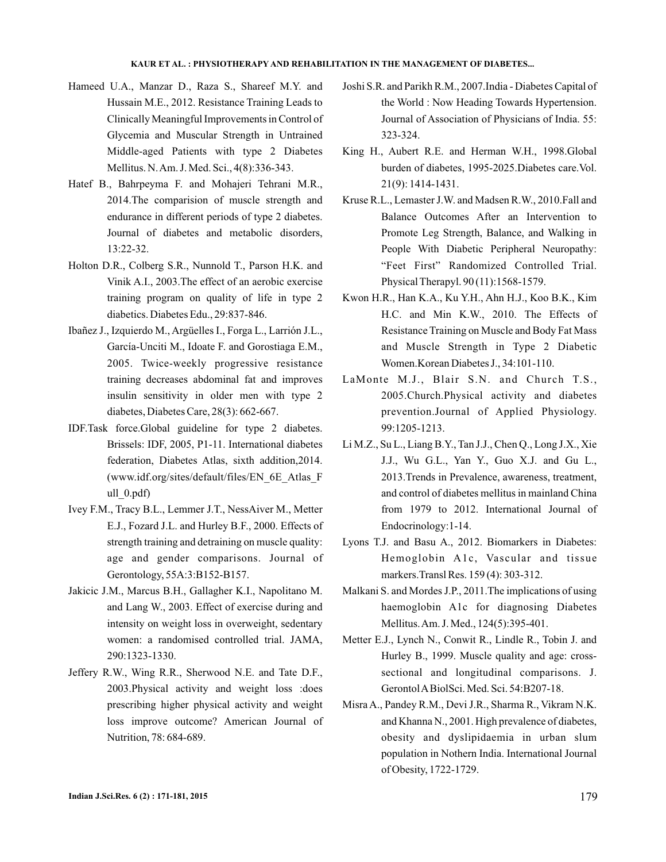- Hameed U.A., Manzar D., Raza S., Shareef M.Y. and Hussain M.E., 2012. Resistance Training Leads to Clinically Meaningful Improvements in Control of Glycemia and Muscular Strength in Untrained Middle-aged Patients with type 2 Diabetes Mellitus. N.Am. J. Med. Sci., 4(8):336-343.
- Hatef B., Bahrpeyma F. and Mohajeri Tehrani M.R., 2014.The comparision of muscle strength and endurance in different periods of type 2 diabetes. Journal of diabetes and metabolic disorders, 13:22-32.
- Holton D.R., Colberg S.R., Nunnold T., Parson H.K. and Vinik A.I., 2003.The effect of an aerobic exercise training program on quality of life in type 2 diabetics. Diabetes Edu., 29:837-846.
- Ibañez J., Izquierdo M., Argüelles I., Forga L., Larrión J.L., García-Unciti M., Idoate F. and Gorostiaga E.M., 2005. Twice-weekly progressive resistance training decreases abdominal fat and improves insulin sensitivity in older men with type 2 diabetes, Diabetes Care, 28(3): 662-667.
- IDF.Task force.Global guideline for type 2 diabetes. Brissels: IDF, 2005, P1-11. International diabetes federation, Diabetes Atlas, sixth addition,2014. (www.idf.org/sites/default/files/EN\_6E\_Atlas\_F ull 0.pdf)
- Ivey F.M., Tracy B.L., Lemmer J.T., NessAiver M., Metter E.J., Fozard J.L. and Hurley B.F., 2000. Effects of strength training and detraining on muscle quality: age and gender comparisons. Journal of Gerontology, 55A:3:B152-B157.
- Jakicic J.M., Marcus B.H., Gallagher K.I., Napolitano M. and Lang W., 2003. Effect of exercise during and intensity on weight loss in overweight, sedentary women: a randomised controlled trial. JAMA, 290:1323-1330.
- Jeffery R.W., Wing R.R., Sherwood N.E. and Tate D.F., 2003.Physical activity and weight loss :does prescribing higher physical activity and weight loss improve outcome? American Journal of Nutrition, 78: 684-689.
- Joshi S.R. and Parikh R.M., 2007.India Diabetes Capital of the World : Now Heading Towards Hypertension. Journal of Association of Physicians of India. 55: 323-324.
- King H., Aubert R.E. and Herman W.H., 1998.Global burden of diabetes, 1995-2025.Diabetes care.Vol. 21(9): 1414-1431.
- Kruse R.L., Lemaster J.W. and Madsen R.W., 2010.Fall and Balance Outcomes After an Intervention to Promote Leg Strength, Balance, and Walking in People With Diabetic Peripheral Neuropathy: "Feet First" Randomized Controlled Trial. Physical Therapyl. 90 (11):1568-1579.
- Kwon H.R., Han K.A., Ku Y.H., Ahn H.J., Koo B.K., Kim H.C. and Min K.W., 2010. The Effects of Resistance Training on Muscle and Body Fat Mass and Muscle Strength in Type 2 Diabetic Women.Korean Diabetes J., 34:101-110.
- LaMonte M.J., Blair S.N. and Church T.S., 2005.Church.Physical activity and diabetes prevention.Journal of Applied Physiology. 99:1205-1213.
- Li M.Z., Su L., Liang B.Y., Tan J.J., Chen Q., Long J.X., Xie J.J., Wu G.L., Yan Y., Guo X.J. and Gu L., 2013.Trends in Prevalence, awareness, treatment, and control of diabetes mellitus in mainland China from 1979 to 2012. International Journal of Endocrinology:1-14.
- Lyons T.J. and Basu A., 2012. Biomarkers in Diabetes: Hemoglobin A1c, Vascular and tissue markers.Transl Res. 159 (4): 303-312.
- Malkani S. and Mordes J.P., 2011.The implications of using haemoglobin A1c for diagnosing Diabetes Mellitus.Am. J. Med., 124(5):395-401.
- Metter E.J., Lynch N., Conwit R., Lindle R., Tobin J. and Hurley B., 1999. Muscle quality and age: crosssectional and longitudinal comparisons. J. GerontolABiolSci. Med. Sci. 54:B207-18.
- Misra A., Pandey R.M., Devi J.R., Sharma R., Vikram N.K. and Khanna N., 2001. High prevalence of diabetes, obesity and dyslipidaemia in urban slum population in Nothern India. International Journal of Obesity, 1722-1729.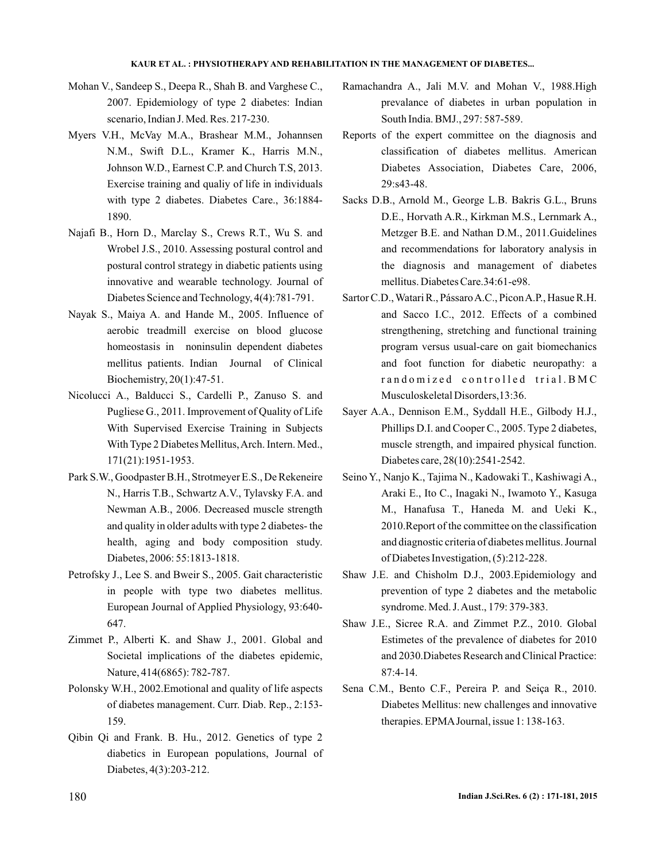- Mohan V., Sandeep S., Deepa R., Shah B. and Varghese C., 2007. Epidemiology of type 2 diabetes: Indian scenario, Indian J. Med. Res. 217-230.
- Myers V.H., McVay M.A., Brashear M.M., Johannsen N.M., Swift D.L., Kramer K., Harris M.N., Johnson W.D., Earnest C.P. and Church T.S, 2013. Exercise training and qualiy of life in individuals with type 2 diabetes. Diabetes Care., 36:1884- 1890.
- Najafi B., Horn D., Marclay S., Crews R.T., Wu S. and Wrobel J.S., 2010. Assessing postural control and postural control strategy in diabetic patients using innovative and wearable technology. Journal of Diabetes Science and Technology, 4(4):781-791.
- Nayak S., Maiya A. and Hande M., 2005. Influence of aerobic treadmill exercise on blood glucose homeostasis in noninsulin dependent diabetes mellitus patients. Indian Journal of Clinical Biochemistry, 20(1):47-51.
- Nicolucci A., Balducci S., Cardelli P., Zanuso S. and Pugliese G., 2011. Improvement of Quality of Life With Supervised Exercise Training in Subjects With Type 2 Diabetes Mellitus,Arch. Intern. Med., 171(21):1951-1953.
- Park S.W., Goodpaster B.H., Strotmeyer E.S., De Rekeneire N., Harris T.B., Schwartz A.V., Tylavsky F.A. and Newman A.B., 2006. Decreased muscle strength and quality in older adults with type 2 diabetes- the health, aging and body composition study. Diabetes, 2006: 55:1813-1818.
- Petrofsky J., Lee S. and Bweir S., 2005. Gait characteristic in people with type two diabetes mellitus. European Journal of Applied Physiology, 93:640- 647.
- Zimmet P., Alberti K. and Shaw J., 2001. Global and Societal implications of the diabetes epidemic, Nature, 414(6865): 782-787.
- Polonsky W.H., 2002.Emotional and quality of life aspects of diabetes management. Curr. Diab. Rep., 2:153- 159.
- Qibin Qi and Frank. B. Hu., 2012. Genetics of type 2 diabetics in European populations, Journal of Diabetes, 4(3):203-212.
- Ramachandra A., Jali M.V. and Mohan V., 1988.High prevalance of diabetes in urban population in South India. BMJ., 297: 587-589.
- Reports of the expert committee on the diagnosis and classification of diabetes mellitus. American Diabetes Association, Diabetes Care, 2006, 29:s43-48.
- Sacks D.B., Arnold M., George L.B. Bakris G.L., Bruns D.E., Horvath A.R., Kirkman M.S., Lernmark A., Metzger B.E. and Nathan D.M., 2011.Guidelines and recommendations for laboratory analysis in the diagnosis and management of diabetes mellitus. Diabetes Care.34:61-e98.
- Sartor C.D., Watari R., Pássaro A.C., Picon A.P., Hasue R.H. and Sacco I.C., 2012. Effects of a combined strengthening, stretching and functional training program versus usual-care on gait biomechanics and foot function for diabetic neuropathy: a randomized controlled trial. BMC Musculoskeletal Disorders,13:36.
- Sayer A.A., Dennison E.M., Syddall H.E., Gilbody H.J., Phillips D.I. and Cooper C., 2005. Type 2 diabetes, muscle strength, and impaired physical function. Diabetes care, 28(10):2541-2542.
- Seino Y., Nanjo K., Tajima N., Kadowaki T., Kashiwagi A., Araki E., Ito C., Inagaki N., Iwamoto Y., Kasuga M., Hanafusa T., Haneda M. and Ueki K., 2010.Report of the committee on the classification and diagnostic criteria of diabetes mellitus. Journal of Diabetes Investigation, (5):212-228.
- Shaw J.E. and Chisholm D.J., 2003.Epidemiology and prevention of type 2 diabetes and the metabolic syndrome. Med. J.Aust., 179: 379-383.
- Shaw J.E., Sicree R.A. and Zimmet P.Z., 2010. Global Estimetes of the prevalence of diabetes for 2010 and 2030.Diabetes Research and Clinical Practice: 87:4-14.
- Sena C.M., Bento C.F., Pereira P. and Seiça R., 2010. Diabetes Mellitus: new challenges and innovative therapies. EPMAJournal, issue 1: 138-163.